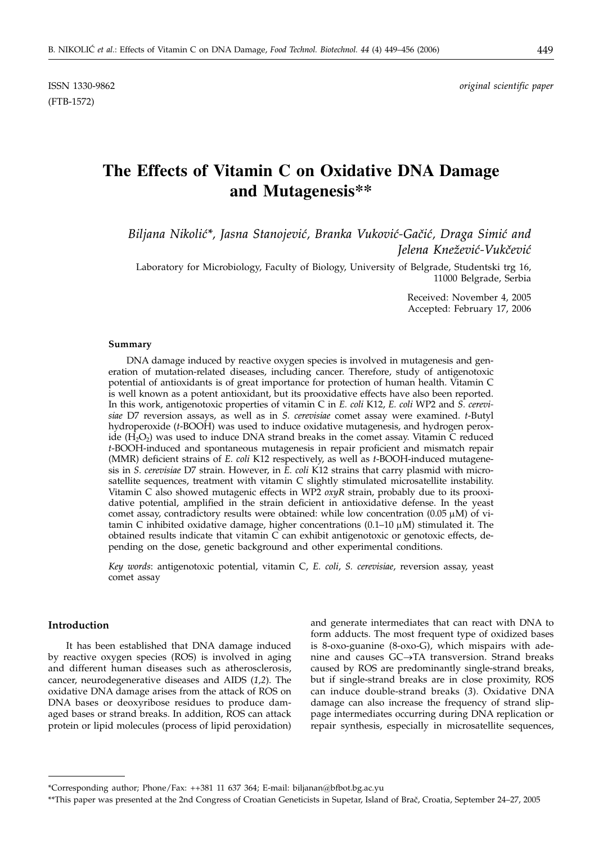ISSN 1330-9862 *original scientific paper*

# **The Effects of Vitamin C on Oxidative DNA Damage and Mutagenesis\*\***

Biljana Nikolić\*, Jasna Stanojević, Branka Vuković-Gačić, Draga Simić and *Jelena Knežević-Vukčević* 

Laboratory for Microbiology, Faculty of Biology, University of Belgrade, Studentski trg 16, 11000 Belgrade, Serbia

> Received: November 4, 2005 Accepted: February 17, 2006

#### **Summary**

DNA damage induced by reactive oxygen species is involved in mutagenesis and generation of mutation-related diseases, including cancer. Therefore, study of antigenotoxic potential of antioxidants is of great importance for protection of human health. Vitamin C is well known as a potent antioxidant, but its prooxidative effects have also been reported. In this work, antigenotoxic properties of vitamin C in *E. coli* K12, *E. coli* WP2 and *S. cerevisiae* D7 reversion assays, as well as in *S. cerevisiae* comet assay were examined. *t*-Butyl hydroperoxide (*t*-BOOH) was used to induce oxidative mutagenesis, and hydrogen peroxide  $(H_2O_2)$  was used to induce DNA strand breaks in the comet assay. Vitamin C reduced *t*-BOOH-induced and spontaneous mutagenesis in repair proficient and mismatch repair (MMR) deficient strains of *E. coli* K12 respectively, as well as *t*-BOOH-induced mutagenesis in *S. cerevisiae* D7 strain. However, in *E. coli* K12 strains that carry plasmid with microsatellite sequences, treatment with vitamin C slightly stimulated microsatellite instability. Vitamin C also showed mutagenic effects in WP2 *oxyR* strain, probably due to its prooxidative potential, amplified in the strain deficient in antioxidative defense. In the yeast comet assay, contradictory results were obtained: while low concentration  $(0.05 \mu M)$  of vitamin C inhibited oxidative damage, higher concentrations  $(0.1-10 \mu M)$  stimulated it. The obtained results indicate that vitamin C can exhibit antigenotoxic or genotoxic effects, depending on the dose, genetic background and other experimental conditions.

*Key words*: antigenotoxic potential, vitamin C, *E. coli*, *S. cerevisiae*, reversion assay, yeast comet assay

#### **Introduction**

It has been established that DNA damage induced by reactive oxygen species (ROS) is involved in aging and different human diseases such as atherosclerosis, cancer, neurodegenerative diseases and AIDS (*1,2*). The oxidative DNA damage arises from the attack of ROS on DNA bases or deoxyribose residues to produce damaged bases or strand breaks. In addition, ROS can attack protein or lipid molecules (process of lipid peroxidation)

and generate intermediates that can react with DNA to form adducts. The most frequent type of oxidized bases is 8-oxo-guanine (8-oxo-G), which mispairs with adenine and causes  $GC \rightarrow TA$  transversion. Strand breaks caused by ROS are predominantly single-strand breaks, but if single-strand breaks are in close proximity, ROS can induce double-strand breaks (*3*). Oxidative DNA damage can also increase the frequency of strand slippage intermediates occurring during DNA replication or repair synthesis, especially in microsatellite sequences,

<sup>\*</sup>Corresponding author; Phone/Fax: ++381 11 637 364; E-mail: biljanan@bfbot.bg.ac.yu

<sup>\*\*</sup>This paper was presented at the 2nd Congress of Croatian Geneticists in Supetar, Island of Brač, Croatia, September 24–27, 2005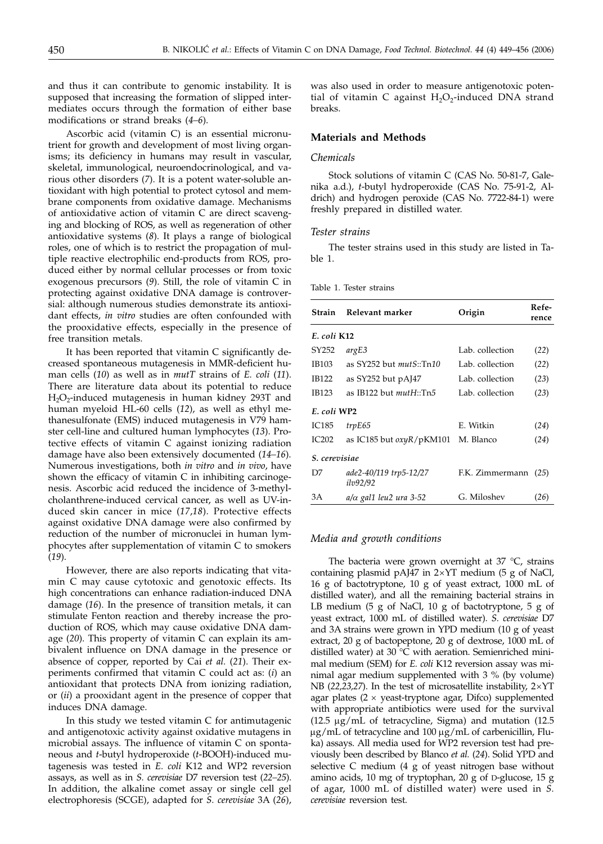and thus it can contribute to genomic instability. It is supposed that increasing the formation of slipped intermediates occurs through the formation of either base modifications or strand breaks (*4–6*).

Ascorbic acid (vitamin C) is an essential micronutrient for growth and development of most living organisms; its deficiency in humans may result in vascular, skeletal, immunological, neuroendocrinological, and various other disorders (*7*). It is a potent water-soluble antioxidant with high potential to protect cytosol and membrane components from oxidative damage. Mechanisms of antioxidative action of vitamin C are direct scavenging and blocking of ROS, as well as regeneration of other antioxidative systems (*8*). It plays a range of biological roles, one of which is to restrict the propagation of multiple reactive electrophilic end-products from ROS, produced either by normal cellular processes or from toxic exogenous precursors (*9*). Still, the role of vitamin C in protecting against oxidative DNA damage is controversial: although numerous studies demonstrate its antioxidant effects, *in vitro* studies are often confounded with the prooxidative effects, especially in the presence of free transition metals.

It has been reported that vitamin C significantly decreased spontaneous mutagenesis in MMR-deficient human cells (*10*) as well as in *mutT* strains of *E. coli* (*11*). There are literature data about its potential to reduce  $H_2O_2$ -induced mutagenesis in human kidney 293T and human myeloid HL-60 cells (*12*), as well as ethyl methanesulfonate (EMS) induced mutagenesis in V79 hamster cell-line and cultured human lymphocytes (*13*). Protective effects of vitamin C against ionizing radiation damage have also been extensively documented (*14–16*). Numerous investigations, both *in vitro* and *in vivo*, have shown the efficacy of vitamin C in inhibiting carcinogenesis. Ascorbic acid reduced the incidence of 3-methylcholanthrene-induced cervical cancer, as well as UV-induced skin cancer in mice (*17*,*18*). Protective effects against oxidative DNA damage were also confirmed by reduction of the number of micronuclei in human lymphocytes after supplementation of vitamin C to smokers (*19*).

However, there are also reports indicating that vitamin C may cause cytotoxic and genotoxic effects. Its high concentrations can enhance radiation-induced DNA damage (*16*). In the presence of transition metals, it can stimulate Fenton reaction and thereby increase the production of ROS, which may cause oxidative DNA damage (*20*). This property of vitamin C can explain its ambivalent influence on DNA damage in the presence or absence of copper, reported by Cai *et al.* (*21*). Their experiments confirmed that vitamin C could act as: (*i*) an antioxidant that protects DNA from ionizing radiation, or (*ii*) a prooxidant agent in the presence of copper that induces DNA damage.

In this study we tested vitamin C for antimutagenic and antigenotoxic activity against oxidative mutagens in microbial assays. The influence of vitamin C on spontaneous and *t*-butyl hydroperoxide (*t*-BOOH)-induced mutagenesis was tested in *E. coli* K12 and WP2 reversion assays, as well as in *S. cerevisiae* D7 reversion test (*22–25*). In addition, the alkaline comet assay or single cell gel electrophoresis (SCGE), adapted for *S. cerevisiae* 3A (*26*),

was also used in order to measure antigenotoxic potential of vitamin C against  $H_2O_2$ -induced DNA strand breaks.

## **Materials and Methods**

#### *Chemicals*

Stock solutions of vitamin C (CAS No. 50-81-7, Galenika a.d.), *t*-butyl hydroperoxide (CAS No. 75-91-2, Aldrich) and hydrogen peroxide (CAS No. 7722-84-1) were freshly prepared in distilled water.

#### *Tester strains*

The tester strains used in this study are listed in Table 1.

Table 1. Tester strains

| Strain                                                                 | Relevant marker                           | Origin          | Refe-<br>rence |
|------------------------------------------------------------------------|-------------------------------------------|-----------------|----------------|
| E. coli K12                                                            |                                           |                 |                |
| SY252                                                                  | argE3                                     | Lab. collection | (22)           |
| IB103                                                                  | as $SY252$ but $mutS::Tn10$               | Lab. collection | (22)           |
| <b>IB122</b>                                                           | as $SY252$ but $pA$ [47]                  | Lab. collection | (23)           |
| IB123                                                                  | as IB122 but $mutH::Tn5$                  | Lab. collection | (23)           |
| E. coli WP2                                                            |                                           |                 |                |
| <b>IC185</b>                                                           | trpE65                                    | E. Witkin       | (24)           |
| IC202<br>as IC185 but $\frac{\partial xy}{\partial p}$ KM101 M. Blanco |                                           |                 | (24)           |
| S. cerevisiae                                                          |                                           |                 |                |
| D7                                                                     | ade2-40/119 trp5-12/27<br><i>ilv92/92</i> | F.K. Zimmermann | (25)           |
| ЗA                                                                     | $a/\alpha$ gal1 leu2 ura 3-52             | G. Miloshev     | (26)           |

## *Media and growth conditions*

The bacteria were grown overnight at  $37 °C$ , strains containing plasmid pAJ47 in  $2\times$ YT medium (5 g of NaCl, 16 g of bactotryptone, 10 g of yeast extract, 1000 mL of distilled water), and all the remaining bacterial strains in LB medium (5 g of NaCl, 10 g of bactotryptone, 5 g of yeast extract, 1000 mL of distilled water). *S. cerevisiae* D7 and 3A strains were grown in YPD medium (10 g of yeast extract, 20 g of bactopeptone, 20 g of dextrose, 1000 mL of distilled water) at 30 °C with aeration. Semienriched minimal medium (SEM) for *E. coli* K12 reversion assay was minimal agar medium supplemented with 3 % (by volume) NB (22,23,27). In the test of microsatellite instability,  $2\times$ YT agar plates ( $2 \times$  yeast-tryptone agar, Difco) supplemented with appropriate antibiotics were used for the survival (12.5  $\mu$ g/mL of tetracycline, Sigma) and mutation (12.5  $\mu$ g/mL of tetracycline and 100  $\mu$ g/mL of carbenicillin, Fluka) assays. All media used for WP2 reversion test had previously been described by Blanco *et al.* (*24*). Solid YPD and selective C medium (4 g of yeast nitrogen base without amino acids, 10 mg of tryptophan, 20 g of D-glucose, 15 g of agar, 1000 mL of distilled water) were used in *S. cerevisiae* reversion test.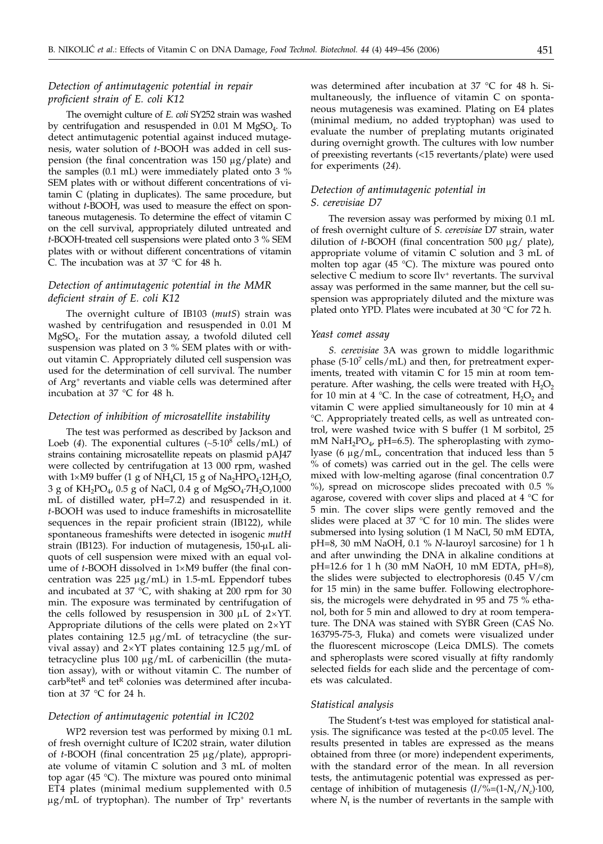# *Detection of antimutagenic potential in repair proficient strain of E. coli K12*

The overnight culture of *E. coli* SY252 strain was washed by centrifugation and resuspended in  $0.01$  M MgSO<sub>4</sub>. To detect antimutagenic potential against induced mutagenesis, water solution of *t*-BOOH was added in cell suspension (the final concentration was  $150 \mu g$ ) and the samples (0.1 mL) were immediately plated onto 3 % SEM plates with or without different concentrations of vitamin C (plating in duplicates). The same procedure, but without *t*-BOOH, was used to measure the effect on spontaneous mutagenesis. To determine the effect of vitamin C on the cell survival, appropriately diluted untreated and *t*-BOOH-treated cell suspensions were plated onto 3 % SEM plates with or without different concentrations of vitamin C. The incubation was at 37 °C for 48 h.

# *Detection of antimutagenic potential in the MMR deficient strain of E. coli K12*

The overnight culture of IB103 (*mutS*) strain was washed by centrifugation and resuspended in 0.01 M  $MgSO<sub>4</sub>$ . For the mutation assay, a twofold diluted cell suspension was plated on 3 % SEM plates with or without vitamin C. Appropriately diluted cell suspension was used for the determination of cell survival. The number of Arg+ revertants and viable cells was determined after incubation at 37 °C for 48 h.

## *Detection of inhibition of microsatellite instability*

The test was performed as described by Jackson and Loeb (4). The exponential cultures  $({\sim}5{\cdot}10^8 \text{ cells/mL})$  of strains containing microsatellite repeats on plasmid pAJ47 were collected by centrifugation at 13 000 rpm, washed with  $1\times$ M9 buffer (1 g of NH<sub>4</sub>Cl, 15 g of Na<sub>2</sub>HPO<sub>4</sub>·12H<sub>2</sub>O, 3 g of  $KH_2PO_4$ , 0.5 g of NaCl, 0.4 g of MgSO<sub>4</sub>.7H<sub>2</sub>O,1000 mL of distilled water, pH=7.2) and resuspended in it. *t*-BOOH was used to induce frameshifts in microsatellite sequences in the repair proficient strain (IB122), while spontaneous frameshifts were detected in isogenic *mutH* strain (IB123). For induction of mutagenesis,  $150-\mu L$  aliquots of cell suspension were mixed with an equal volume of *t*-BOOH dissolved in 1×M9 buffer (the final concentration was  $225 \mu g/mL$  in 1.5-mL Eppendorf tubes and incubated at 37 °C, with shaking at 200 rpm for 30 min. The exposure was terminated by centrifugation of the cells followed by resuspension in 300  $\mu$ L of 2×YT. Appropriate dilutions of the cells were plated on  $2\times$ YT plates containing  $12.5 \mu g/mL$  of tetracycline (the survival assay) and  $2\times$ YT plates containing 12.5  $\mu$ g/mL of tetracycline plus 100  $\mu$ g/mL of carbenicillin (the mutation assay), with or without vitamin C. The number of  $\text{carb}^{\text{R}}$ tet<sup>R</sup> and tet<sup>R</sup> colonies was determined after incubation at 37 °C for 24 h.

## *Detection of antimutagenic potential in IC202*

WP2 reversion test was performed by mixing 0.1 mL of fresh overnight culture of IC202 strain, water dilution of *<sup>t</sup>*-BOOH (final concentration 25 mg/plate), appropriate volume of vitamin C solution and 3 mL of molten top agar (45 °C). The mixture was poured onto minimal ET4 plates (minimal medium supplemented with 0.5  $\mu$ g/mL of tryptophan). The number of Trp<sup>+</sup> revertants

was determined after incubation at 37 °C for 48 h. Simultaneously, the influence of vitamin C on spontaneous mutagenesis was examined. Plating on E4 plates (minimal medium, no added tryptophan) was used to evaluate the number of preplating mutants originated during overnight growth. The cultures with low number of preexisting revertants (<15 revertants/plate) were used for experiments (*24*).

## *Detection of antimutagenic potential in S. cerevisiae D7*

The reversion assay was performed by mixing 0.1 mL of fresh overnight culture of *S. cerevisiae* D7 strain, water dilution of *t*-BOOH (final concentration 500 µg/ plate), appropriate volume of vitamin C solution and 3 mL of molten top agar (45  $^{\circ}$ C). The mixture was poured onto selective C medium to score Ilv<sup>+</sup> revertants. The survival assay was performed in the same manner, but the cell suspension was appropriately diluted and the mixture was plated onto YPD. Plates were incubated at 30 °C for 72 h.

#### *Yeast comet assay*

*S. cerevisiae* 3A was grown to middle logarithmic phase  $(5.10<sup>7</sup>$  cells/mL) and then, for pretreatment experiments, treated with vitamin C for 15 min at room temperature. After washing, the cells were treated with  $H_2O_2$ for 10 min at 4 °C. In the case of cotreatment,  $H_2O_2$  and vitamin C were applied simultaneously for 10 min at 4 °C. Appropriately treated cells, as well as untreated control, were washed twice with S buffer (1 M sorbitol, 25 mM NaH<sub>2</sub>PO<sub>4</sub>, pH=6.5). The spheroplasting with zymolyase (6  $\mu$ g/mL, concentration that induced less than 5 % of comets) was carried out in the gel. The cells were mixed with low-melting agarose (final concentration 0.7 %), spread on microscope slides precoated with 0.5 % agarose, covered with cover slips and placed at  $4 \degree C$  for 5 min. The cover slips were gently removed and the slides were placed at  $37$  °C for 10 min. The slides were submersed into lysing solution (1 M NaCl, 50 mM EDTA, pH=8, 30 mM NaOH, 0.1 % *N*-lauroyl sarcosine) for 1 h and after unwinding the DNA in alkaline conditions at pH=12.6 for 1 h (30 mM NaOH, 10 mM EDTA, pH=8), the slides were subjected to electrophoresis (0.45 V/cm for 15 min) in the same buffer. Following electrophoresis, the microgels were dehydrated in 95 and 75 % ethanol, both for 5 min and allowed to dry at room temperature. The DNA was stained with SYBR Green (CAS No. 163795-75-3, Fluka) and comets were visualized under the fluorescent microscope (Leica DMLS). The comets and spheroplasts were scored visually at fifty randomly selected fields for each slide and the percentage of comets was calculated.

#### *Statistical analysis*

The Student's t-test was employed for statistical analysis. The significance was tested at the p<0.05 level. The results presented in tables are expressed as the means obtained from three (or more) independent experiments, with the standard error of the mean. In all reversion tests, the antimutagenic potential was expressed as percentage of inhibition of mutagenesis (*I*/%=(1-*N*<sup>t</sup> /*N*c)·100, where  $N_t$  is the number of revertants in the sample with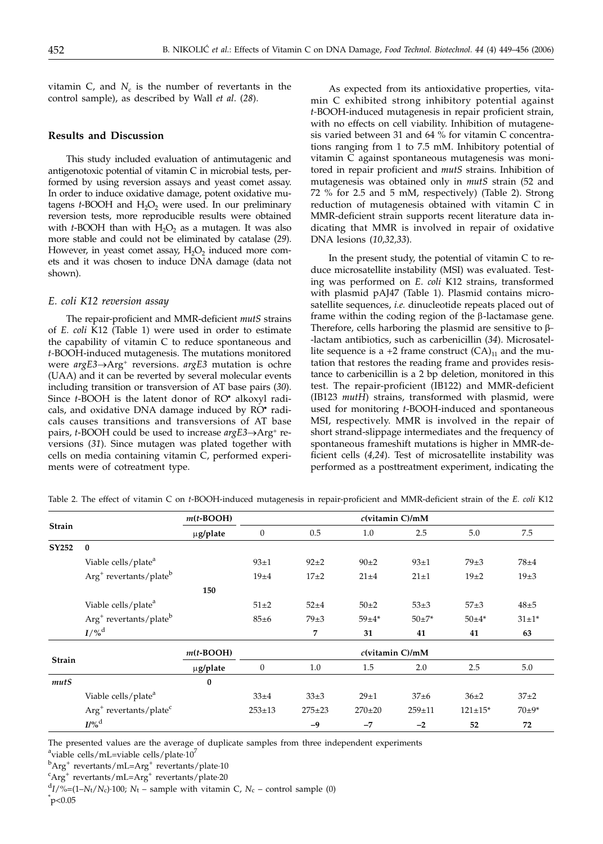vitamin  $C$ , and  $N_c$  is the number of revertants in the control sample), as described by Wall *et al*. (*28*).

## **Results and Discussion**

This study included evaluation of antimutagenic and antigenotoxic potential of vitamin C in microbial tests, performed by using reversion assays and yeast comet assay. In order to induce oxidative damage, potent oxidative mutagens *t*-BOOH and H<sub>2</sub>O<sub>2</sub> were used. In our preliminary reversion tests, more reproducible results were obtained with  $t$ -BOOH than with  $H_2O_2$  as a mutagen. It was also more stable and could not be eliminated by catalase (*29*). However, in yeast comet assay,  $H_2O_2$  induced more comets and it was chosen to induce DNA damage (data not shown).

#### *E. coli K12 reversion assay*

The repair-proficient and MMR-deficient *mutS* strains of *E. coli* K12 (Table 1) were used in order to estimate the capability of vitamin C to reduce spontaneous and *t-*BOOH-induced mutagenesis. The mutations monitored were *argE3*®Arg+ reversions. *argE3* mutation is ochre (UAA) and it can be reverted by several molecular events including transition or transversion of AT base pairs (*30*). Since *t*-BOOH is the latent donor of RO<sup>•</sup> alkoxyl radicals, and oxidative DNA damage induced by RO· radicals causes transitions and transversions of AT base pairs, *t*-BOOH could be used to increase *argE3*→Arg<sup>+</sup> reversions (*31*). Since mutagen was plated together with cells on media containing vitamin C, performed experiments were of cotreatment type.

As expected from its antioxidative properties, vitamin C exhibited strong inhibitory potential against *t-*BOOH-induced mutagenesis in repair proficient strain, with no effects on cell viability. Inhibition of mutagenesis varied between 31 and 64 % for vitamin C concentrations ranging from 1 to 7.5 mM. Inhibitory potential of vitamin C against spontaneous mutagenesis was monitored in repair proficient and *mutS* strains. Inhibition of mutagenesis was obtained only in *mutS* strain (52 and 72 % for 2.5 and 5 mM, respectively) (Table 2). Strong reduction of mutagenesis obtained with vitamin C in MMR-deficient strain supports recent literature data indicating that MMR is involved in repair of oxidative DNA lesions (*10,32,33*).

In the present study, the potential of vitamin C to reduce microsatellite instability (MSI) was evaluated. Testing was performed on *E*. *coli* K12 strains, transformed with plasmid pAJ47 (Table 1). Plasmid contains microsatellite sequences, *i.e.* dinucleotide repeats placed out of frame within the coding region of the  $\beta$ -lactamase gene. Therefore, cells harboring the plasmid are sensitive to  $\beta$ --lactam antibiotics, such as carbenicillin (*34*). Microsatellite sequence is a +2 frame construct  $(CA)_{11}$  and the mutation that restores the reading frame and provides resistance to carbenicillin is a 2 bp deletion, monitored in this test. The repair-proficient (IB122) and MMR-deficient (IB123 *mutH*) strains, transformed with plasmid, were used for monitoring *t*-BOOH-induced and spontaneous MSI, respectively. MMR is involved in the repair of short strand-slippage intermediates and the frequency of spontaneous frameshift mutations is higher in MMR-deficient cells (*4,24*). Test of microsatellite instability was performed as a posttreatment experiment, indicating the

|               |                                                | $m(t$ -BOOH) |                    |              |              |            |                |             |
|---------------|------------------------------------------------|--------------|--------------------|--------------|--------------|------------|----------------|-------------|
| Strain        |                                                | µg/plate     | $\boldsymbol{0}$   | 0.5          | 1.0          | 2.5        | 5.0            | 7.5         |
| SY252         | $\bf{0}$                                       |              |                    |              |              |            |                |             |
|               | Viable cells/plate <sup>a</sup>                |              | $93+1$             | $92+2$       | $90+2$       | $93+1$     | $79\pm3$       | $78 + 4$    |
|               | Arg <sup>+</sup> revertants/plate <sup>b</sup> |              | $19\pm4$           | $17+2$       | $21 + 4$     | $21 + 1$   | $19\pm2$       | $19\pm3$    |
|               |                                                | 150          |                    |              |              |            |                |             |
|               | Viable cells/plate <sup>a</sup>                |              | $51 + 2$           | $52 + 4$     | $50\pm2$     | $53+3$     | $57\pm3$       | $48\pm5$    |
|               | Arg <sup>+</sup> revertants/plate <sup>b</sup> |              | $85 \pm 6$         | $79\pm3$     | $59 + 4*$    | $50+7*$    | $50 + 4*$      | $31 \pm 1*$ |
|               | $I/\%^d$                                       |              |                    | 7            | 31           | 41         | 41             | 63          |
|               |                                                | $m(t$ -BOOH) | $c$ (vitamin C)/mM |              |              |            |                |             |
| <b>Strain</b> |                                                | µg/plate     | $\boldsymbol{0}$   | 1.0          | 1.5          | 2.0        | 2.5            | 5.0         |
| mutS          |                                                | $\bf{0}$     |                    |              |              |            |                |             |
|               | Viable cells/plate <sup>a</sup>                |              | $33+4$             | $33\pm3$     | $29+1$       | $37+6$     | $36+2$         | $37+2$      |
|               | $Arg+$ revertants/plate <sup>c</sup>           |              | $253 \pm 13$       | $275 \pm 23$ | $270 \pm 20$ | $259 + 11$ | $121 \pm 15^*$ | $70+9*$     |
|               | $I/\%$ <sup>d</sup>                            |              |                    | $-9$         | $-7$         | $-2$       | 52             | 72          |

Table 2. The effect of vitamin C on *t*-BOOH-induced mutagenesis in repair-proficient and MMR-deficient strain of the *E. coli* K12

The presented values are the average of duplicate samples from three independent experiments

<sup>a</sup>viable cells/mL=viable cells/plate $\cdot 10^7$ 

 $\rm ^bArg^+$  revertants/mL=Arg<sup>+</sup> revertants/plate·10

 ${}^{\text{c}}$ Arg<sup>+</sup> revertants/mL=Arg<sup>+</sup> revertants/plate·20

 $d_I/\%=(1-N_t/N_c)\cdot 100$ ;  $N_t$  – sample with vitamin C,  $N_c$  – control sample (0)  $\mathrm{^*p}$ <0.05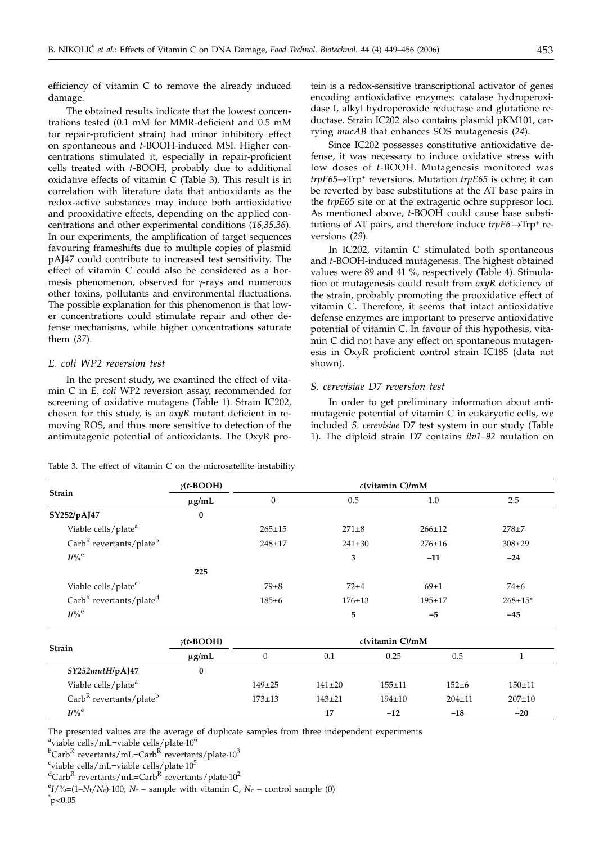efficiency of vitamin C to remove the already induced damage.

The obtained results indicate that the lowest concentrations tested (0.1 mM for MMR-deficient and 0.5 mM for repair-proficient strain) had minor inhibitory effect on spontaneous and *t*-BOOH-induced MSI. Higher concentrations stimulated it, especially in repair-proficient cells treated with *t*-BOOH, probably due to additional oxidative effects of vitamin C (Table 3). This result is in correlation with literature data that antioxidants as the redox-active substances may induce both antioxidative and prooxidative effects, depending on the applied concentrations and other experimental conditions (*16,35,36*). In our experiments, the amplification of target sequences favouring frameshifts due to multiple copies of plasmid pAJ47 could contribute to increased test sensitivity. The effect of vitamin C could also be considered as a hormesis phenomenon, observed for  $\gamma$ -rays and numerous other toxins, pollutants and environmental fluctuations. The possible explanation for this phenomenon is that lower concentrations could stimulate repair and other defense mechanisms, while higher concentrations saturate them (*37*).

## *E. coli WP2 reversion test*

In the present study, we examined the effect of vitamin C in *E. coli* WP2 reversion assay, recommended for screening of oxidative mutagens (Table 1). Strain IC202, chosen for this study, is an *oxyR* mutant deficient in removing ROS, and thus more sensitive to detection of the antimutagenic potential of antioxidants. The OxyR protein is a redox-sensitive transcriptional activator of genes encoding antioxidative enzymes: catalase hydroperoxidase I, alkyl hydroperoxide reductase and glutatione reductase. Strain IC202 also contains plasmid pKM101, carrying *mucAB* that enhances SOS mutagenesis (*24*).

Since IC202 possesses constitutive antioxidative defense, it was necessary to induce oxidative stress with low doses of *t*-BOOH. Mutagenesis monitored was *trpE65→Trp<sup>+</sup>* reversions. Mutation *trpE65* is ochre; it can be reverted by base substitutions at the AT base pairs in the *trpE65* site or at the extragenic ochre suppresor loci. As mentioned above, *t*-BOOH could cause base substitutions of AT pairs, and therefore induce  $trpE6 \rightarrow Trp^+$  reversions (*29*).

In IC202, vitamin C stimulated both spontaneous and *t*-BOOH-induced mutagenesis. The highest obtained values were 89 and 41 %, respectively (Table 4). Stimulation of mutagenesis could result from *oxyR* deficiency of the strain, probably promoting the prooxidative effect of vitamin C. Therefore, it seems that intact antioxidative defense enzymes are important to preserve antioxidative potential of vitamin C. In favour of this hypothesis, vitamin C did not have any effect on spontaneous mutagenesis in OxyR proficient control strain IC185 (data not shown).

# *S. cerevisiae D7 reversion test*

In order to get preliminary information about antimutagenic potential of vitamin C in eukaryotic cells, we included *S. cerevisiae* D7 test system in our study (Table 1). The diploid strain D7 contains *ilv1–92* mutation on

| Table 3. The effect of vitamin C on the microsatellite instability |  |
|--------------------------------------------------------------------|--|
|--------------------------------------------------------------------|--|

| Strain                                          | $\gamma(t\text{-}\text{BOOH})$ |                  | $c$ (vitamin C)/mM |              |              |                |
|-------------------------------------------------|--------------------------------|------------------|--------------------|--------------|--------------|----------------|
|                                                 | $\mu$ g/mL                     | $\boldsymbol{0}$ | 0.5                |              | 1.0          | 2.5            |
| SY252/pAJ47                                     | $\bf{0}$                       |                  |                    |              |              |                |
| Viable cells/plate <sup>a</sup>                 |                                | $265 \pm 15$     | $271 + 8$          |              | $266 \pm 12$ | $278 + 7$      |
| $\text{Carb}^R$ revertants/plate <sup>b</sup>   |                                | $248 + 17$       | $241 \pm 30$       |              | $276 \pm 16$ | $308 \pm 29$   |
| $I/\%$ <sup>e</sup>                             |                                |                  | 3                  |              | $-11$        | $-24$          |
|                                                 | 225                            |                  |                    |              |              |                |
| Viable cells/plate <sup>c</sup>                 |                                | $79\pm8$         | $72 + 4$           |              | $69+1$       | $74\pm 6$      |
| Carb <sup>R</sup> revertants/plate <sup>d</sup> |                                | $185 + 6$        | $176 \pm 13$       |              | $195 \pm 17$ | $268 \pm 15$ * |
| $I/\%$ <sup>e</sup>                             |                                |                  | 5                  |              | $-5$         | $-45$          |
| Strain                                          | $\gamma(t\text{-}\text{BOOH})$ |                  |                    |              |              |                |
|                                                 | $\mu$ g/mL                     | $\mathbf{0}$     | 0.1                | 0.25         | 0.5          | 1              |
| SY252mutH/pAJ47                                 | $\bf{0}$                       |                  |                    |              |              |                |
| Viable cells/plate <sup>a</sup>                 |                                | $149 \pm 25$     | $141 \pm 20$       | $155 + 11$   | $152 + 6$    | $150 + 11$     |
| Carb <sup>R</sup> revertants/plate <sup>b</sup> |                                | $173 \pm 13$     | $143 + 21$         | $194 \pm 10$ | $204 \pm 11$ | $207 \pm 10$   |
| $I/\%$ <sup>e</sup>                             |                                |                  | 17                 | $-12$        | $-18$        | $-20$          |

The presented values are the average of duplicate samples from three independent experiments

 $\alpha$ <sup>a</sup>viable cells/mL=viable cells/plate·10<sup>6</sup>

 $^{\rm b}$ Carb $^{\rm R}$  revertants/mL=Carb $^{\rm R}$  revertants/plate $\cdot 10^3$ 

<sup>c</sup>viable cells/mL=viable cells/plate·10<sup>5</sup>

 $\mathrm{d}$ Carb $\mathrm{R}$  revertants/mL=Carb $\mathrm{R}$  revertants/plate $\cdot 10^2$ 

 $\binom{e}{I}\% = (1 - N_t/N_c) \cdot 100$ ;  $N_t$  – sample with vitamin C,  $N_c$  – control sample (0)  $\mathrm{^*p}$ <0.05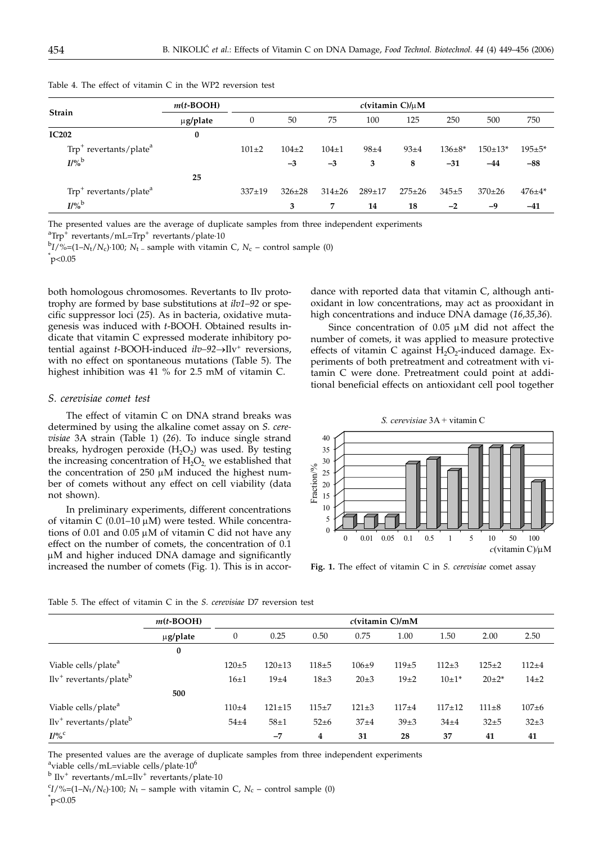|                                         | $m(t$ -BOOH) | $c$ (vitamin C)/ $\mu$ M |              |              |          |              |               |           |              |  |
|-----------------------------------------|--------------|--------------------------|--------------|--------------|----------|--------------|---------------|-----------|--------------|--|
| Strain                                  | µg/plate     | 0                        | 50           | 75           | 100      | 125          | 250           | 500       | 750          |  |
| <b>IC202</b>                            | 0            |                          |              |              |          |              |               |           |              |  |
| $Trp^{+}$ revertants/plate <sup>a</sup> |              | $101 + 2$                | $104 + 2$    | $104 + 1$    | $98 + 4$ | $93+4$       | $136 \pm 8^*$ | $150+13*$ | $195 + 5*$   |  |
| $I/\%$ <sup>b</sup>                     |              |                          | $-3$         | $-3$         | 3        | 8            | $-31$         | $-44$     | $-88$        |  |
|                                         | 25           |                          |              |              |          |              |               |           |              |  |
| $Trp^+$ revertants/plate <sup>a</sup>   |              | $337+19$                 | $326 \pm 28$ | $314 \pm 26$ | $289+17$ | $275 \pm 26$ | $345+5$       | $370+26$  | $476 \pm 4*$ |  |
| $I/\%$ <sup>b</sup>                     |              |                          | 3            | 7            | 14       | 18           | $-2$          | -9        | $-41$        |  |

Table 4. The effect of vitamin C in the WP2 reversion test

The presented values are the average of duplicate samples from three independent experiments

 ${}^{a}$ Trp<sup>+</sup> revertants/mL=Trp<sup>+</sup> revertants/plate $\cdot$ 10

 $bI/\%=(1-N_t/N_c)\cdot 100$ ;  $N_t$  – sample with vitamin C,  $N_c$  – control sample (0)  $\mathrm{^*p}$ <0.05

both homologous chromosomes. Revertants to Ilv prototrophy are formed by base substitutions at *ilv1–92* or specific suppressor loci (*25*). As in bacteria, oxidative mutagenesis was induced with *t*-BOOH. Obtained results indicate that vitamin C expressed moderate inhibitory potential against *t*-BOOH-induced *ilv*-92→Ilv<sup>+</sup> reversions, with no effect on spontaneous mutations (Table 5). The highest inhibition was 41 % for 2.5 mM of vitamin C.

#### *S. cerevisiae comet test*

The effect of vitamin C on DNA strand breaks was determined by using the alkaline comet assay on *S. cerevisiae* 3A strain (Table 1) (*26*). To induce single strand breaks, hydrogen peroxide  $(H_2O_2)$  was used. By testing the increasing concentration of  $H_2O_2$ , we established that the concentration of  $250 \mu M$  induced the highest number of comets without any effect on cell viability (data not shown).

In preliminary experiments, different concentrations of vitamin C (0.01–10  $\mu$ M) were tested. While concentrations of 0.01 and 0.05  $\mu$ M of vitamin C did not have any effect on the number of comets, the concentration of 0.1  $\mu$ M and higher induced DNA damage and significantly increased the number of comets (Fig. 1). This is in accor-

dance with reported data that vitamin C, although antioxidant in low concentrations, may act as prooxidant in high concentrations and induce DNA damage (*16,35,36*).

Since concentration of  $0.05 \mu M$  did not affect the number of comets, it was applied to measure protective effects of vitamin C against  $H_2O_2$ -induced damage. Experiments of both pretreatment and cotreatment with vitamin C were done. Pretreatment could point at additional beneficial effects on antioxidant cell pool together





**Fig. 1.** The effect of vitamin C in *S. cerevisiae* comet assay

|                                       | $m(t$ -BOOH)  | $c$ (vitamin $C$ )/mM |            |           |             |           |          |             |           |
|---------------------------------------|---------------|-----------------------|------------|-----------|-------------|-----------|----------|-------------|-----------|
|                                       | $\mu$ g/plate | $\boldsymbol{0}$      | 0.25       | 0.50      | 0.75        | 1.00      | 1.50     | 2.00        | 2.50      |
|                                       | 0             |                       |            |           |             |           |          |             |           |
| Viable cells/plate <sup>a</sup>       |               | $120 + 5$             | $120+13$   | $118 + 5$ | $106 + 9$   | $119+5$   | $112+3$  | $125+2$     | $112 + 4$ |
| $Ilv^+$ revertants/plate <sup>b</sup> |               | $16 + 1$              | $19\pm4$   | $18+3$    | $20+3$      | $19\pm2$  | $10+1*$  | $20+2*$     | $14 + 2$  |
|                                       | 500           |                       |            |           |             |           |          |             |           |
| Viable cells/plate <sup>a</sup>       |               | $110 + 4$             | $121 + 15$ | $115 + 7$ | $121 \pm 3$ | $117 + 4$ | $117+12$ | $111 \pm 8$ | $107 + 6$ |
| $Ilv^+$ revertants/plate <sup>b</sup> |               | $54 + 4$              | $58\pm1$   | $52 + 6$  | $37 + 4$    | $39+3$    | $34 + 4$ | $32 + 5$    | $32+3$    |
| $I/9/6$ <sup>C</sup>                  |               |                       | $-7$       | 4         | 31          | 28        | 37       | 41          | 41        |

Table 5. The effect of vitamin C in the *S. cerevisiae* D7 reversion test

The presented values are the average of duplicate samples from three independent experiments

 $\mathrm{a}_\mathrm{viable}$  cells/mL=viable cells/plate $\cdot 10^6$ 

 $^{\rm b}$  Ilv $^{\rm +}$ revertants/mL=Ilv $^{\rm +}$ revertants/plate·10

 $C_I/\%=(1-N_t/N_c)\cdot 100$ ;  $N_t$  – sample with vitamin C,  $N_c$  – control sample (0)  $\mathrm{^*p}$ <0.05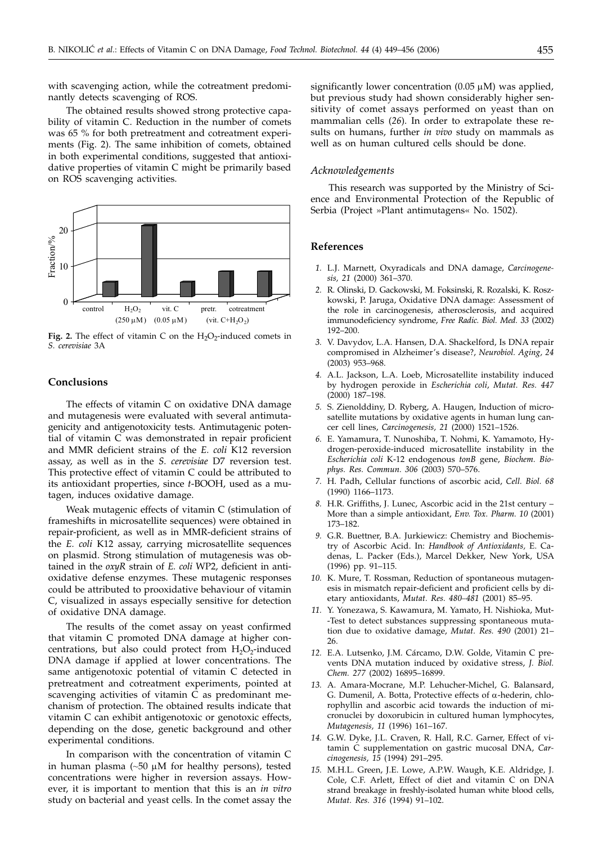with scavenging action, while the cotreatment predominantly detects scavenging of ROS.

The obtained results showed strong protective capability of vitamin C. Reduction in the number of comets was 65 % for both pretreatment and cotreatment experiments (Fig. 2). The same inhibition of comets, obtained in both experimental conditions, suggested that antioxidative properties of vitamin C might be primarily based on ROS scavenging activities.



Fig. 2. The effect of vitamin C on the  $H_2O_2$ -induced comets in *S. cerevisiae* 3A

# **Conclusions**

The effects of vitamin C on oxidative DNA damage and mutagenesis were evaluated with several antimutagenicity and antigenotoxicity tests. Antimutagenic potential of vitamin C was demonstrated in repair proficient and MMR deficient strains of the *E. coli* K12 reversion assay, as well as in the *S. cerevisiae* D7 reversion test. This protective effect of vitamin C could be attributed to its antioxidant properties, since *t*-BOOH, used as a mutagen, induces oxidative damage.

Weak mutagenic effects of vitamin C (stimulation of frameshifts in microsatellite sequences) were obtained in repair-proficient, as well as in MMR-deficient strains of the *E. coli* K12 assay, carrying microsatellite sequences on plasmid. Strong stimulation of mutagenesis was obtained in the *oxyR* strain of *E. coli* WP2, deficient in antioxidative defense enzymes. These mutagenic responses could be attributed to prooxidative behaviour of vitamin C, visualized in assays especially sensitive for detection of oxidative DNA damage.

The results of the comet assay on yeast confirmed that vitamin C promoted DNA damage at higher concentrations, but also could protect from  $H_2O_2$ -induced DNA damage if applied at lower concentrations. The same antigenotoxic potential of vitamin C detected in pretreatment and cotreatment experiments, pointed at scavenging activities of vitamin  $\overline{C}$  as predominant mechanism of protection. The obtained results indicate that vitamin C can exhibit antigenotoxic or genotoxic effects, depending on the dose, genetic background and other experimental conditions.

In comparison with the concentration of vitamin C in human plasma  $(\sim 50 \mu M)$  for healthy persons), tested concentrations were higher in reversion assays. However, it is important to mention that this is an *in vitro* study on bacterial and yeast cells. In the comet assay the significantly lower concentration  $(0.05 \mu M)$  was applied, but previous study had shown considerably higher sensitivity of comet assays performed on yeast than on mammalian cells (*26*). In order to extrapolate these results on humans, further *in vivo* study on mammals as well as on human cultured cells should be done.

#### *Acknowledgements*

This research was supported by the Ministry of Science and Environmental Protection of the Republic of Serbia (Project »Plant antimutagens« No. 1502).

#### **References**

- *1.* L.J. Marnett, Oxyradicals and DNA damage, *Carcinogenesis, 21* (2000) 361–370.
- *2.* R. Olinski, D. Gackowski, M. Foksinski, R. Rozalski, K. Roszkowski, P. Jaruga, Oxidative DNA damage: Assessment of the role in carcinogenesis, atherosclerosis, and acquired immunodeficiency syndrome, *Free Radic. Biol. Med. 33* (2002) 192–200.
- *3.* V. Davydov, L.A. Hansen, D.A. Shackelford, Is DNA repair compromised in Alzheimer's disease?, *Neurobiol. Aging, 24* (2003) 953–968.
- *4.* A.L. Jackson, L.A. Loeb, Microsatellite instability induced by hydrogen peroxide in *Escherichia coli*, *Mutat. Res. 447* (2000) 187–198.
- *5.* S. Zienolddiny, D. Ryberg, A. Haugen, Induction of microsatellite mutations by oxidative agents in human lung cancer cell lines, *Carcinogenesis, 21* (2000) 1521–1526.
- *6.* E. Yamamura, T. Nunoshiba, T. Nohmi, K. Yamamoto, Hydrogen-peroxide-induced microsatellite instability in the *Escherichia coli* K-12 endogenous *tonB* gene, *Biochem. Biophys. Res. Commun. 306* (2003) 570–576.
- *7.* H. Padh, Cellular functions of ascorbic acid, *Cell. Biol. 68* (1990) 1166–1173.
- *8.* H.R. Griffiths, J. Lunec, Ascorbic acid in the 21st century More than a simple antioxidant, *Env. Tox. Pharm. 10* (2001) 173–182.
- *9.* G.R. Buettner, B.A. Jurkiewicz: Chemistry and Biochemistry of Ascorbic Acid. In: *Handbook of Antioxidants,* E. Cadenas, L. Packer (Eds.), Marcel Dekker, New York, USA (1996) pp. 91–115.
- *10.* K. Mure, T. Rossman, Reduction of spontaneous mutagenesis in mismatch repair-deficient and proficient cells by dietary antioxidants, *Mutat. Res. 480–481* (2001) 85–95.
- *11.* Y. Yonezawa, S. Kawamura, M. Yamato, H. Nishioka, Mut- -Test to detect substances suppressing spontaneous mutation due to oxidative damage, *Mutat. Res. 490* (2001) 21– 26.
- *12.* E.A. Lutsenko, J.M. Cárcamo, D.W. Golde, Vitamin C prevents DNA mutation induced by oxidative stress, *J. Biol. Chem. 277* (2002) 16895–16899.
- *13.* A. Amara-Mocrane, M.P. Lehucher-Michel, G. Balansard, G. Dumenil, A. Botta, Protective effects of  $\alpha$ -hederin, chlorophyllin and ascorbic acid towards the induction of micronuclei by doxorubicin in cultured human lymphocytes, *Mutagenesis, 11* (1996) 161–167.
- *14.* G.W. Dyke, J.L. Craven, R. Hall, R.C. Garner, Effect of vitamin C supplementation on gastric mucosal DNA, *Carcinogenesis, 15* (1994) 291–295.
- *15.* M.H.L. Green, J.E. Lowe, A.P.W. Waugh, K.E. Aldridge, J. Cole, C.F. Arlett, Effect of diet and vitamin C on DNA strand breakage in freshly-isolated human white blood cells, *Mutat. Res. 316* (1994) 91–102.